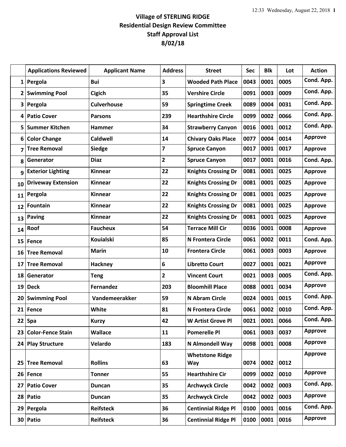## **Village of STERLING RIDGE Residential Design Review Committee Staff Approval List 8/02/18**

|              | <b>Applications Reviewed</b> | <b>Applicant Name</b> | <b>Address</b> | <b>Street</b>              | <b>Sec</b> | <b>Blk</b> | Lot  | <b>Action</b>  |
|--------------|------------------------------|-----------------------|----------------|----------------------------|------------|------------|------|----------------|
| $1\vert$     | Pergola                      | Bui                   | 3              | <b>Wooded Path Place</b>   | 0043       | 0001       | 0005 | Cond. App.     |
| $\mathbf{2}$ | <b>Swimming Pool</b>         | <b>Cigich</b>         | 35             | <b>Vershire Circle</b>     | 0091       | 0003       | 0009 | Cond. App.     |
| 3            | Pergola                      | <b>Culverhouse</b>    | 59             | <b>Springtime Creek</b>    | 0089       | 0004       | 0031 | Cond. App.     |
| 4            | <b>Patio Cover</b>           | <b>Parsons</b>        | 239            | <b>Hearthshire Circle</b>  | 0099       | 0002       | 0066 | Cond. App.     |
| 5            | <b>Summer Kitchen</b>        | Hammer                | 34             | <b>Strawberry Canyon</b>   | 0016       | 0001       | 0012 | Cond. App.     |
| 6            | <b>Color Change</b>          | <b>Caldwell</b>       | 14             | <b>Chivary Oaks Place</b>  | 0077       | 0004       | 0014 | <b>Approve</b> |
| 7            | <b>Tree Removal</b>          | <b>Siedge</b>         | 7              | <b>Spruce Canyon</b>       | 0017       | 0001       | 0017 | <b>Approve</b> |
| 8            | Generator                    | <b>Diaz</b>           | $\overline{2}$ | <b>Spruce Canyon</b>       | 0017       | 0001       | 0016 | Cond. App.     |
| 9            | <b>Exterior Lighting</b>     | Kinnear               | 22             | <b>Knights Crossing Dr</b> | 0081       | 0001       | 0025 | <b>Approve</b> |
| 10           | <b>Driveway Extension</b>    | <b>Kinnear</b>        | 22             | <b>Knights Crossing Dr</b> | 0081       | 0001       | 0025 | <b>Approve</b> |
| 11           | Pergola                      | Kinnear               | 22             | <b>Knights Crossing Dr</b> | 0081       | 0001       | 0025 | <b>Approve</b> |
| 12           | <b>Fountain</b>              | <b>Kinnear</b>        | 22             | <b>Knights Crossing Dr</b> | 0081       | 0001       | 0025 | <b>Approve</b> |
| 13           | Paving                       | <b>Kinnear</b>        | 22             | <b>Knights Crossing Dr</b> | 0081       | 0001       | 0025 | <b>Approve</b> |
| 14           | Roof                         | <b>Faucheux</b>       | 54             | <b>Terrace Mill Cir</b>    | 0036       | 0001       | 0008 | <b>Approve</b> |
| 15           | Fence                        | <b>Kouialski</b>      | 85             | <b>N Frontera Circle</b>   | 0061       | 0002       | 0011 | Cond. App.     |
| 16           | <b>Tree Removal</b>          | <b>Marin</b>          | 10             | <b>Frontera Circle</b>     | 0061       | 0003       | 0003 | <b>Approve</b> |
| 17           | <b>Tree Removal</b>          | Hackney               | 6              | <b>Libretto Court</b>      | 0027       | 0001       | 0021 | <b>Approve</b> |
| 18           | Generator                    | <b>Teng</b>           | $\overline{2}$ | <b>Vincent Court</b>       | 0021       | 0003       | 0005 | Cond. App.     |
| 19           | <b>Deck</b>                  | <b>Fernandez</b>      | 203            | <b>Bloomhill Place</b>     | 0088       | 0001       | 0034 | <b>Approve</b> |
| 20           | <b>Swimming Pool</b>         | Vandemeerakker        | 59             | N Abram Circle             | 0024       | 0001       | 0015 | Cond. App.     |
| 21           | Fence                        | White                 | 81             | <b>N Frontera Circle</b>   | 0061       | 0002       | 0010 | Cond. App.     |
| 22           | Spa                          | <b>Kurzy</b>          | 42             | <b>W Artist Grove Pl</b>   | 0021       | 0001       | 0066 | Cond. App.     |
| 23           | <b>Color-Fence Stain</b>     | <b>Wallace</b>        | 11             | <b>Pomerelle Pl</b>        | 0061       | 0003       | 0037 | <b>Approve</b> |
| 24           | <b>Play Structure</b>        | Velardo               | 183            | N Almondell Way            | 0098       | 0001       | 0008 | <b>Approve</b> |
|              |                              |                       |                | <b>Whetstone Ridge</b>     |            |            |      | <b>Approve</b> |
| 25           | <b>Tree Removal</b>          | <b>Rollins</b>        | 63             | Way                        | 0074       | 0002       | 0012 |                |
| 26           | <b>Fence</b>                 | <b>Tonner</b>         | 55             | <b>Hearthshire Cir</b>     | 0099       | 0002       | 0010 | <b>Approve</b> |
| 27           | <b>Patio Cover</b>           | <b>Duncan</b>         | 35             | <b>Archwyck Circle</b>     | 0042       | 0002       | 0003 | Cond. App.     |
| 28           | Patio                        | <b>Duncan</b>         | 35             | <b>Archwyck Circle</b>     | 0042       | 0002       | 0003 | <b>Approve</b> |
| 29           | Pergola                      | <b>Reifsteck</b>      | 36             | <b>Centinnial Ridge Pl</b> | 0100       | 0001       | 0016 | Cond. App.     |
|              | 30 Patio                     | <b>Reifsteck</b>      | 36             | <b>Centinnial Ridge Pl</b> | 0100       | 0001       | 0016 | <b>Approve</b> |